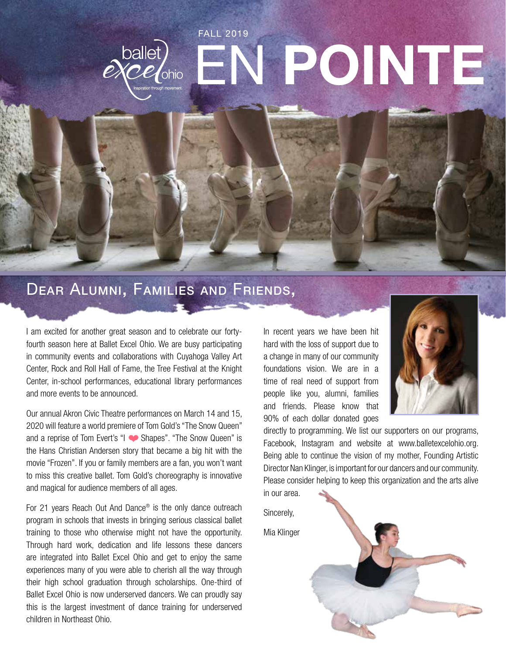# FALL 2019 ballet)<br>excelonio EN **POINTE**

### Dear Alumni, Families and Friends,

I am excited for another great season and to celebrate our fortyfourth season here at Ballet Excel Ohio. We are busy participating in community events and collaborations with Cuyahoga Valley Art Center, Rock and Roll Hall of Fame, the Tree Festival at the Knight Center, in-school performances, educational library performances and more events to be announced.

Our annual Akron Civic Theatre performances on March 14 and 15, 2020 will feature a world premiere of Tom Gold's "The Snow Queen" and a reprise of Tom Evert's "I Shapes". "The Snow Queen" is the Hans Christian Andersen story that became a big hit with the movie "Frozen". If you or family members are a fan, you won't want to miss this creative ballet. Tom Gold's choreography is innovative and magical for audience members of all ages.

For 21 years Reach Out And Dance® is the only dance outreach program in schools that invests in bringing serious classical ballet training to those who otherwise might not have the opportunity. Through hard work, dedication and life lessons these dancers are integrated into Ballet Excel Ohio and get to enjoy the same experiences many of you were able to cherish all the way through their high school graduation through scholarships. One-third of Ballet Excel Ohio is now underserved dancers. We can proudly say this is the largest investment of dance training for underserved children in Northeast Ohio.

In recent years we have been hit hard with the loss of support due to a change in many of our community foundations vision. We are in a time of real need of support from people like you, alumni, families and friends. Please know that 90% of each dollar donated goes



directly to programming. We list our supporters on our programs, Facebook, Instagram and website at www.balletexcelohio.org. Being able to continue the vision of my mother, Founding Artistic Director Nan Klinger, is important for our dancers and our community. Please consider helping to keep this organization and the arts alive in our area.

Sincerely,

Mia Klinger

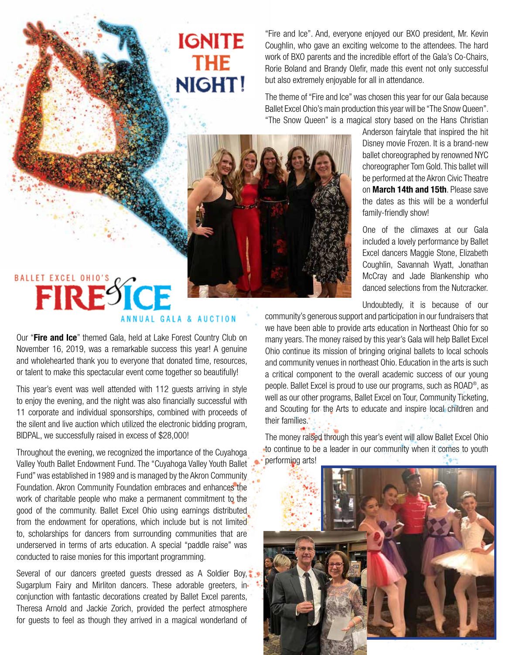## **IGNITE THE** NIGHT!

"Fire and Ice". And, everyone enjoyed our BXO president, Mr. Kevin Coughlin, who gave an exciting welcome to the attendees. The hard work of BXO parents and the incredible effort of the Gala's Co-Chairs, Rorie Boland and Brandy Olefir, made this event not only successful but also extremely enjoyable for all in attendance.

The theme of "Fire and Ice" was chosen this year for our Gala because Ballet Excel Ohio's main production this year will be "The Snow Queen". "The Snow Queen" is a magical story based on the Hans Christian



# BALLET EXCEL OHIO'S ANNUAL GALA & AUCTION

Our "**Fire and Ice**" themed Gala, held at Lake Forest Country Club on November 16, 2019, was a remarkable success this year! A genuine and wholehearted thank you to everyone that donated time, resources, or talent to make this spectacular event come together so beautifully!

This year's event was well attended with 112 guests arriving in style to enjoy the evening, and the night was also financially successful with 11 corporate and individual sponsorships, combined with proceeds of the silent and live auction which utilized the electronic bidding program, BIDPAL, we successfully raised in excess of \$28,000!

Throughout the evening, we recognized the importance of the Cuyahoga Valley Youth Ballet Endowment Fund. The "Cuyahoga Valley Youth Ballet Fund" was established in 1989 and is managed by the Akron Community Foundation. Akron Community Foundation embraces and enhances the work of charitable people who make a permanent commitment to the good of the community. Ballet Excel Ohio using earnings distributed from the endowment for operations, which include but is not limited to, scholarships for dancers from surrounding communities that are underserved in terms of arts education. A special "paddle raise" was conducted to raise monies for this important programming.

Several of our dancers greeted guests dressed as A Soldier Boy, Sugarplum Fairy and Mirliton dancers. These adorable greeters, inconjunction with fantastic decorations created by Ballet Excel parents, Theresa Arnold and Jackie Zorich, provided the perfect atmosphere for guests to feel as though they arrived in a magical wonderland of

Anderson fairytale that inspired the hit Disney movie Frozen. It is a brand-new ballet choreographed by renowned NYC choreographer Tom Gold. This ballet will be performed at the Akron Civic Theatre on **March 14th and 15th**. Please save the dates as this will be a wonderful family-friendly show!

One of the climaxes at our Gala included a lovely performance by Ballet Excel dancers Maggie Stone, Elizabeth Coughlin, Savannah Wyatt, Jonathan McCray and Jade Blankenship who danced selections from the Nutcracker.

Undoubtedly, it is because of our

community's generous support and participation in our fundraisers that we have been able to provide arts education in Northeast Ohio for so many years. The money raised by this year's Gala will help Ballet Excel Ohio continue its mission of bringing original ballets to local schools and community venues in northeast Ohio. Education in the arts is such a critical component to the overall academic success of our young people. Ballet Excel is proud to use our programs, such as ROAD®, as well as our other programs, Ballet Excel on Tour, Community Ticketing, and Scouting for the Arts to educate and inspire local children and their families.

The money raised through this year's event will allow Ballet Excel Ohio to continue to be a leader in our community when it comes to youth performing arts!

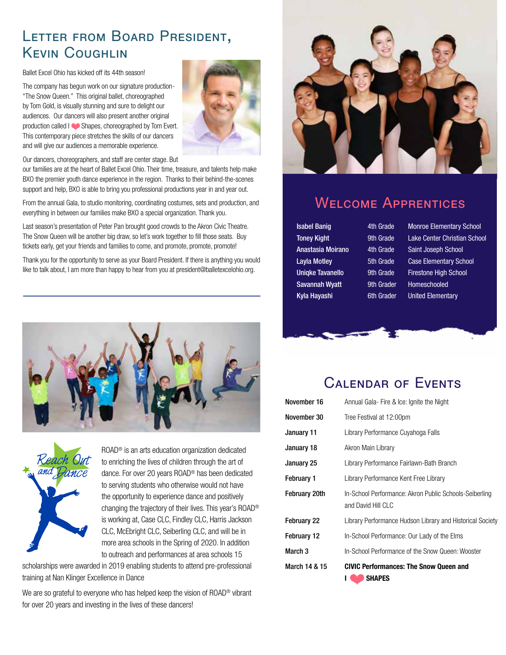### Letter from Board President, Kevin Coughlin

Ballet Excel Ohio has kicked off its 44th season!

The company has begun work on our signature production- "The Snow Queen." This original ballet, choreographed by Tom Gold, is visually stunning and sure to delight our audiences. Our dancers will also present another original production called I Shapes, choreographed by Tom Evert. This contemporary piece stretches the skills of our dancers and will give our audiences a memorable experience.



Our dancers, choreographers, and staff are center stage. But

our families are at the heart of Ballet Excel Ohio. Their time, treasure, and talents help make BXO the premier youth dance experience in the region. Thanks to their behind-the-scenes support and help, BXO is able to bring you professional productions year in and year out.

From the annual Gala, to studio monitoring, coordinating costumes, sets and production, and everything in between our families make BXO a special organization. Thank you.

Last season's presentation of Peter Pan brought good crowds to the Akron Civic Theatre. The Snow Queen will be another big draw, so let's work together to fill those seats. Buy tickets early, get your friends and families to come, and promote, promote, promote!

Thank you for the opportunity to serve as your Board President. If there is anything you would like to talk about, I am more than happy to hear from you at president@balletexcelohio.org.





ROAD® is an arts education organization dedicated to enriching the lives of children through the art of dance. For over 20 years ROAD® has been dedicated to serving students who otherwise would not have the opportunity to experience dance and positively changing the trajectory of their lives. This year's ROAD® is working at, Case CLC, Findley CLC, Harris Jackson CLC, McEbright CLC, Seiberling CLC, and will be in more area schools in the Spring of 2020. In addition to outreach and performances at area schools 15

scholarships were awarded in 2019 enabling students to attend pre-professional training at Nan Klinger Excellence in Dance

We are so grateful to everyone who has helped keep the vision of ROAD<sup>®</sup> vibrant for over 20 years and investing in the lives of these dancers!



### Welcome Apprentices

Savannah Wyatt 9th Grader Homeschooled Kyla Hayashi 6th Grader United Elementary

Isabel Banig 4th Grade Monroe Elementary School Toney Kight 9th Grade Lake Center Christian School Anastasia Moirano 4th Grade Saint Joseph School Layla Motley 5th Grade Case Elementary School Uniqke Tavanello 9th Grade Firestone High School



### Calendar of Events

| March 14 & 15 | <b>CIVIC Performances: The Snow Queen and</b><br><b>SHAPES</b>               |
|---------------|------------------------------------------------------------------------------|
| March 3       | In-School Performance of the Snow Queen: Wooster                             |
| February 12   | In-School Performance: Our Lady of the Elms                                  |
| February 22   | Library Performance Hudson Library and Historical Society                    |
| February 20th | In-School Performance: Akron Public Schools-Seiberling<br>and David Hill CLC |
| February 1    | Library Performance Kent Free Library                                        |
| January 25    | Library Performance Fairlawn-Bath Branch                                     |
| January 18    | Akron Main Library                                                           |
| January 11    | Library Performance Cuyahoga Falls                                           |
| November 30   | Tree Festival at 12:00pm                                                     |
| November 16   | Annual Gala- Fire & Ice: Ignite the Night                                    |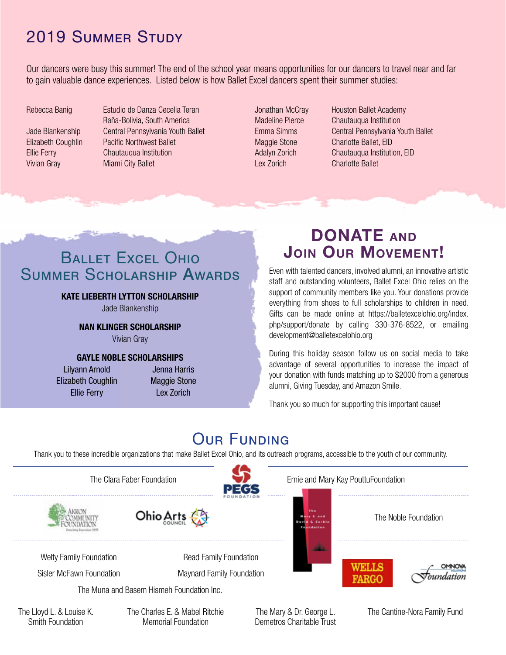### 2019 Summer Study

Our dancers were busy this summer! The end of the school year means opportunities for our dancers to travel near and far to gain valuable dance experiences. Listed below is how Ballet Excel dancers spent their summer studies:

Vivian Gray Miami City Ballet

Rebecca Banig **Estudio de Danza Cecelia Teran** Raña-Bolivia, South America Jade Blankenship Central Pennsylvania Youth Ballet Elizabeth Coughlin Pacific Northwest Ballet Ellie Ferry Chautauqua Institution

Lex Zorich Charlotte Ballet

Jonathan McCray Houston Ballet Academy Madeline Pierce Chautauqua Institution Emma Simms Central Pennsylvania Youth Ballet Maggie Stone Charlotte Ballet, EID Adalyn Zorich Chautauqua Institution, EID

### **BALLET EXCEL OHIO** Summer Scholarship Awards

#### **KATE LIEBERTH LYTTON SCHOLARSHIP**

Jade Blankenship

**NAN KLINGER SCHOLARSHIP**

Vivian Gray

#### **GAYLE NOBLE SCHOLARSHIPS**

Lilyann Arnold Elizabeth Coughlin Ellie Ferry

Jenna Harris Maggie Stone Lex Zorich

### **DONATE and Join Our Movement!**

Even with talented dancers, involved alumni, an innovative artistic staff and outstanding volunteers, Ballet Excel Ohio relies on the support of community members like you. Your donations provide everything from shoes to full scholarships to children in need. Gifts can be made online at https://balletexcelohio.org/index. php/support/donate by calling 330-376-8522, or emailing development@balletexcelohio.org

During this holiday season follow us on social media to take advantage of several opportunities to increase the impact of your donation with funds matching up to \$2000 from a generous alumni, Giving Tuesday, and Amazon Smile.

Thank you so much for supporting this important cause!

### **OUR FUNDING**

Thank you to these incredible organizations that make Ballet Excel Ohio, and its outreach programs, accessible to the youth of our community.

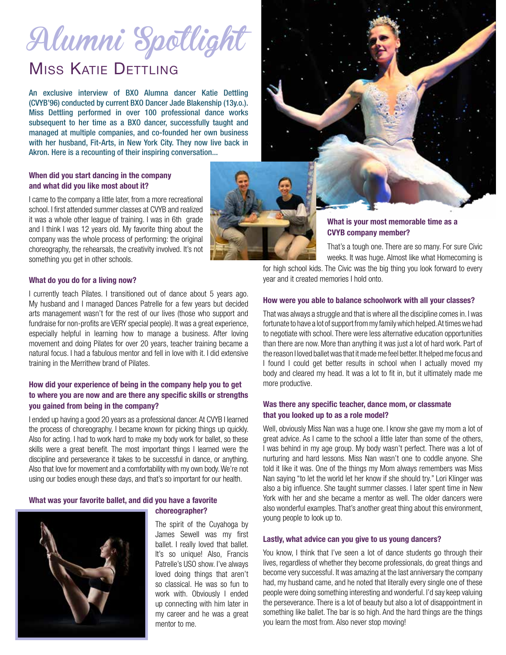# Alumni Spotlight

### MISS KATIE DETTLING

An exclusive interview of BXO Alumna dancer Katie Dettling (CVYB'96) conducted by current BXO Dancer Jade Blakenship (13y.o.). Miss Dettling performed in over 100 professional dance works subsequent to her time as a BXO dancer, successfully taught and managed at multiple companies, and co-founded her own business with her husband, Fit-Arts, in New York City. They now live back in Akron. Here is a recounting of their inspiring conversation...

#### **When did you start dancing in the company and what did you like most about it?**

I came to the company a little later, from a more recreational school. I first attended summer classes at CVYB and realized it was a whole other league of training. I was in 6th grade and I think I was 12 years old. My favorite thing about the company was the whole process of performing: the original choreography, the rehearsals, the creativity involved. It's not something you get in other schools.



#### **What is your most memorable time as a CVYB company member?**

That's a tough one. There are so many. For sure Civic weeks. It was huge. Almost like what Homecoming is

for high school kids. The Civic was the big thing you look forward to every year and it created memories I hold onto.

#### **How were you able to balance schoolwork with all your classes?**

That was always a struggle and that is where all the discipline comes in. I was fortunate to have a lot of support from my family which helped. At times we had to negotiate with school. There were less alternative education opportunities than there are now. More than anything it was just a lot of hard work. Part of the reason I loved ballet was that it made me feel better. It helped me focus and I found I could get better results in school when I actually moved my body and cleared my head. It was a lot to fit in, but it ultimately made me more productive.

#### **Was there any specific teacher, dance mom, or classmate that you looked up to as a role model?**

Well, obviously Miss Nan was a huge one. I know she gave my mom a lot of great advice. As I came to the school a little later than some of the others, I was behind in my age group. My body wasn't perfect. There was a lot of nurturing and hard lessons. Miss Nan wasn't one to coddle anyone. She told it like it was. One of the things my Mom always remembers was Miss Nan saying "to let the world let her know if she should try." Lori Klinger was also a big influence. She taught summer classes. I later spent time in New York with her and she became a mentor as well. The older dancers were also wonderful examples. That's another great thing about this environment, young people to look up to.

#### **Lastly, what advice can you give to us young dancers?**

You know, I think that I've seen a lot of dance students go through their lives, regardless of whether they become professionals, do great things and become very successful. It was amazing at the last anniversary the company had, my husband came, and he noted that literally every single one of these people were doing something interesting and wonderful. I'd say keep valuing the perseverance. There is a lot of beauty but also a lot of disappointment in something like ballet. The bar is so high. And the hard things are the things you learn the most from. Also never stop moving!

#### **What do you do for a living now?**

I currently teach Pilates. I transitioned out of dance about 5 years ago. My husband and I managed Dances Patrelle for a few years but decided arts management wasn't for the rest of our lives (those who support and fundraise for non-profits are VERY special people). It was a great experience, especially helpful in learning how to manage a business. After loving movement and doing Pilates for over 20 years, teacher training became a natural focus. I had a fabulous mentor and fell in love with it. I did extensive training in the Merrithew brand of Pilates.

#### **How did your experience of being in the company help you to get to where you are now and are there any specific skills or strengths you gained from being in the company?**

I ended up having a good 20 years as a professional dancer. At CVYB I learned the process of choreography. I became known for picking things up quickly. Also for acting. I had to work hard to make my body work for ballet, so these skills were a great benefit. The most important things I learned were the discipline and perseverance it takes to be successful in dance, or anything. Also that love for movement and a comfortability with my own body. We're not using our bodies enough these days, and that's so important for our health.

### **What was your favorite ballet, and did you have a favorite**



#### **choreographer?**

The spirit of the Cuyahoga by James Sewell was my first ballet. I really loved that ballet. It's so unique! Also, Francis Patrelle's USO show. I've always loved doing things that aren't so classical. He was so fun to work with. Obviously I ended up connecting with him later in my career and he was a great mentor to me.